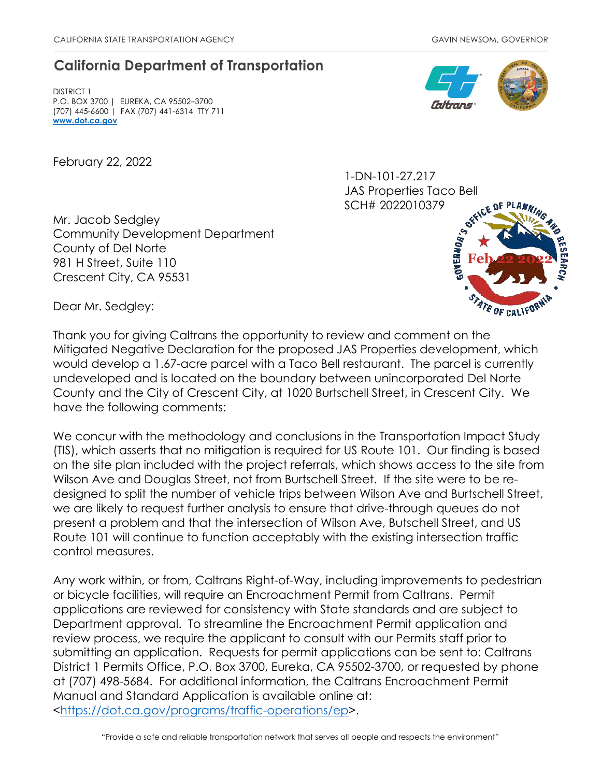## **California Department of Transportation**

DISTRICT 1 P.O. BOX 3700 | EUREKA, CA 95502–3700 (707) 445-6600 | FAX (707) 441-6314 TTY 711 **[www.dot.ca.gov](http://www.dot.ca.gov/)**

February 22, 2022

1-DN-101-27.217 JAS Properties Taco Bell SCH# 2022010379



Mr. Jacob Sedgley Community Development Department County of Del Norte 981 H Street, Suite 110 Crescent City, CA 95531



Dear Mr. Sedgley:

Thank you for giving Caltrans the opportunity to review and comment on the Mitigated Negative Declaration for the proposed JAS Properties development, which would develop a 1.67-acre parcel with a Taco Bell restaurant. The parcel is currently undeveloped and is located on the boundary between unincorporated Del Norte County and the City of Crescent City, at 1020 Burtschell Street, in Crescent City. We have the following comments:

We concur with the methodology and conclusions in the Transportation Impact Study (TIS), which asserts that no mitigation is required for US Route 101. Our finding is based on the site plan included with the project referrals, which shows access to the site from Wilson Ave and Douglas Street, not from Burtschell Street. If the site were to be redesigned to split the number of vehicle trips between Wilson Ave and Burtschell Street, we are likely to request further analysis to ensure that drive-through queues do not present a problem and that the intersection of Wilson Ave, Butschell Street, and US Route 101 will continue to function acceptably with the existing intersection traffic control measures.

Any work within, or from, Caltrans Right-of-Way, including improvements to pedestrian or bicycle facilities, will require an Encroachment Permit from Caltrans. Permit applications are reviewed for consistency with State standards and are subject to Department approval. To streamline the Encroachment Permit application and review process, we require the applicant to consult with our Permits staff prior to submitting an application. Requests for permit applications can be sent to: Caltrans District 1 Permits Office, P.O. Box 3700, Eureka, CA 95502-3700, or requested by phone at (707) 498-5684. For additional information, the Caltrans Encroachment Permit Manual and Standard Application is available online at: [<https://dot.ca.gov/programs/traffic-operations/ep>](https://dot.ca.gov/programs/traffic-operations/ep).